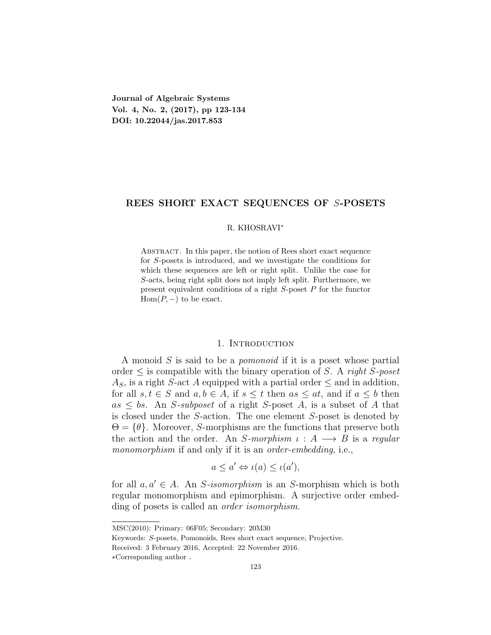**Journal of Algebraic Systems Vol. 4, No. 2, (2017), pp 123-134 DOI: 10.22044/jas.2017.853**

# **REES SHORT EXACT SEQUENCES OF** *S***-POSETS**

### R. KHOSRAVI*<sup>∗</sup>*

Abstract. In this paper, the notion of Rees short exact sequence for *S*-posets is introduced, and we investigate the conditions for which these sequences are left or right split. Unlike the case for *S*-acts, being right split does not imply left split. Furthermore, we present equivalent conditions of a right *S*-poset *P* for the functor Hom $(P, -)$  to be exact.

# 1. INTRODUCTION

A monoid *S* is said to be a *pomonoid* if it is a poset whose partial order *≤* is compatible with the binary operation of *S*. A *right S-poset*  $A<sub>S</sub>$ , is a right *S*-act *A* equipped with a partial order  $\leq$  and in addition, for all  $s, t \in S$  and  $a, b \in A$ , if  $s \leq t$  then  $as \leq at$ , and if  $a \leq b$  then  $as \leq bs$ . An *S*-subposet of a right *S*-poset *A*, is a subset of *A* that is closed under the *S*-action. The one element *S*-poset is denoted by  $\Theta = \{\theta\}$ . Moreover, *S*-morphisms are the functions that preserve both the action and the order. An *S-morphism*  $\iota : A \longrightarrow B$  is a *regular monomorphism* if and only if it is an *order-embedding*, i.e.,

$$
a \le a' \Leftrightarrow \iota(a) \le \iota(a'),
$$

for all  $a, a' \in A$ . An *S*-isomorphism is an *S*-morphism which is both regular monomorphism and epimorphism. A surjective order embedding of posets is called an *order isomorphism*.

MSC(2010): Primary: 06F05; Secondary: 20M30

Keywords: *S*-posets, Pomonoids, Rees short exact sequence, Projective.

Received: 3 February 2016, Accepted: 22 November 2016.

*<sup>∗</sup>*Corresponding author .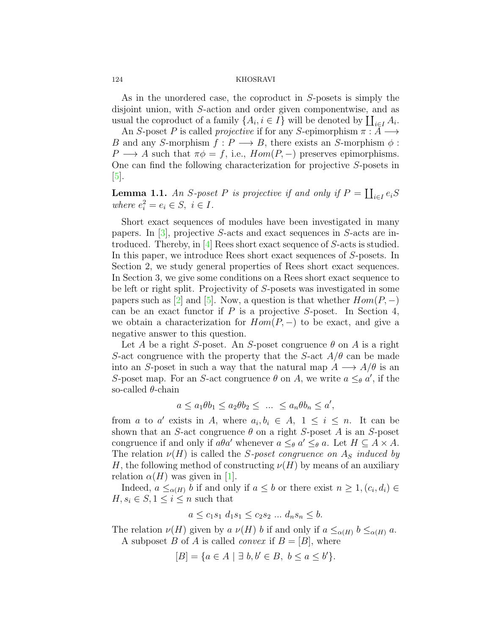As in the unordered case, the coproduct in *S*-posets is simply the disjoint union, with *S*-action and order given componentwise, and as usual the coproduct of a family  $\{A_i, i \in I\}$  will be denoted by  $\coprod_{i \in I} A_i$ .

An *S*-poset *P* is called *projective* if for any *S*-epimorphism *π* : *A −→ B* and any *S*-morphism  $f: P \longrightarrow B$ , there exists an *S*-morphism  $\phi$ : *P*  $\rightarrow$  *A* such that  $\pi \phi = f$ , i.e.,  $Hom(P, -)$  preserves epimorphisms. One can find the following characterization for projective *S*-posets in [[5\]](#page-11-0).

<span id="page-1-0"></span>**Lemma 1.1.** *An S*-poset *P is projective if and only if*  $P = \coprod_{i \in I} e_i S$ *where*  $e_i^2 = e_i \in S$ ,  $i \in I$ .

Short exact sequences of modules have been investigated in many papers. In [\[3](#page-11-1)], projective *S*-acts and exact sequences in *S*-acts are introduced. Thereby, in [[4\]](#page-11-2) Rees short exact sequence of *S*-acts is studied. In this paper, we introduce Rees short exact sequences of *S*-posets. In Section 2, we study general properties of Rees short exact sequences. In Section 3, we give some conditions on a Rees short exact sequence to be left or right split. Projectivity of *S*-posets was investigated in some papers such as  $[2]$  $[2]$  and  $[5]$  $[5]$ . Now, a question is that whether  $Hom(P, -)$ can be an exact functor if *P* is a projective *S*-poset. In Section 4, we obtain a characterization for  $Hom(P, -)$  to be exact, and give a negative answer to this question.

Let *A* be a right *S*-poset. An *S*-poset congruence  $\theta$  on *A* is a right *S*-act congruence with the property that the *S*-act  $A/\theta$  can be made into an *S*-poset in such a way that the natural map  $A \longrightarrow A/\theta$  is an *S*-poset map. For an *S*-act congruence  $\theta$  on *A*, we write  $a \leq_{\theta} a'$ , if the so-called *θ*-chain

$$
a \le a_1 \theta b_1 \le a_2 \theta b_2 \le \ \ldots \ \le a_n \theta b_n \le a',
$$

from *a* to *a'* exists in *A*, where  $a_i, b_i \in A$ ,  $1 \leq i \leq n$ . It can be shown that an *S*-act congruence  $\theta$  on a right *S*-poset *A* is an *S*-poset congruence if and only if  $a\theta a'$  whenever  $a \leq_{\theta} a' \leq_{\theta} a$ . Let  $H \subseteq A \times A$ . The relation  $\nu(H)$  is called the *S*-poset congruence on  $A<sub>S</sub>$  *induced by H*, the following method of constructing  $\nu(H)$  by means of an auxiliary relation  $\alpha(H)$  was given in [[1](#page-11-4)].

Indeed,  $a \leq_{\alpha(H)} b$  if and only if  $a \leq b$  or there exist  $n \geq 1$ ,  $(c_i, d_i) \in$  $H, s_i \in S, 1 \leq i \leq n$  such that

$$
a \leq c_1 s_1 d_1 s_1 \leq c_2 s_2 \dots d_n s_n \leq b.
$$

The relation  $\nu(H)$  given by *a*  $\nu(H)$  *b* if and only if  $a \leq_{\alpha(H)} b \leq_{\alpha(H)} a$ . A subposet *B* of *A* is called *convex* if  $B = [B]$ , where

$$
[B] = \{a \in A \mid \exists b, b' \in B, b \le a \le b'\}.
$$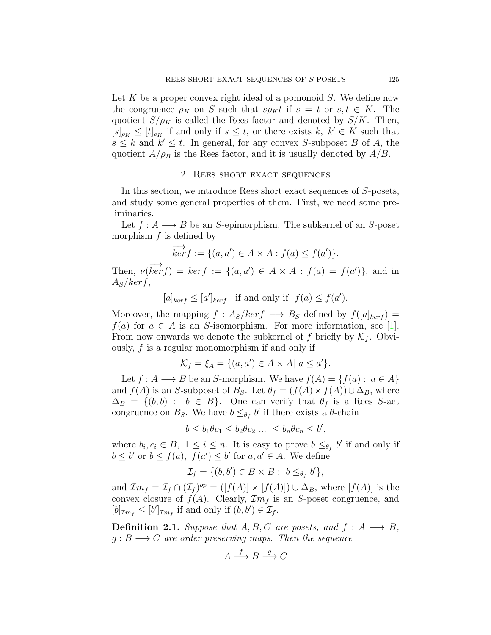Let *K* be a proper convex right ideal of a pomonoid *S*. We define now the congruence  $\rho_K$  on *S* such that  $s\rho_K t$  if  $s = t$  or  $s, t \in K$ . The quotient  $S/\rho_K$  is called the Rees factor and denoted by  $S/K$ . Then,  $[s]_{\rho_K} \leq [t]_{\rho_K}$  if and only if  $s \leq t$ , or there exists  $k, k' \in K$  such that  $s \leq k$  and  $k' \leq t$ . In general, for any convex *S*-subposet *B* of *A*, the quotient  $A/\rho_B$  is the Rees factor, and it is usually denoted by  $A/B$ .

# 2. Rees short exact sequences

In this section, we introduce Rees short exact sequences of *S*-posets, and study some general properties of them. First, we need some preliminaries.

Let  $f: A \longrightarrow B$  be an *S*-epimorphism. The subkernel of an *S*-poset morphism *f* is defined by

$$
\overrightarrow{ker} f := \{ (a, a') \in A \times A : f(a) \le f(a') \}.
$$

Then,  $\nu(\overrightarrow{ker f}) = ker f := \{(a, a') \in A \times A : f(a) = f(a')\}$ , and in *AS/kerf*,

 $[a]_{\text{ker }f} \leq [a']_{\text{ker }f}$  if and only if  $f(a) \leq f(a')$ .

Moreover, the mapping  $\overline{f}$  :  $A_S/ker f \longrightarrow B_S$  defined by  $\overline{f}([a]_{ker f})$  = *f*(*a*) for  $a \in A$  is an *S*-isomorphism. For more information, see [[1\]](#page-11-4). From now onwards we denote the subkernel of  $f$  briefly by  $\mathcal{K}_f$ . Obviously, *f* is a regular monomorphism if and only if

$$
\mathcal{K}_f = \xi_A = \{ (a, a') \in A \times A | a \le a' \}.
$$

Let *f* : *A* → *B* be an *S*-morphism. We have  $f(A) = \{f(a): a \in A\}$ and  $f(A)$  is an *S*-subposet of  $B_S$ . Let  $\theta_f = (f(A) \times f(A)) \cup \Delta_B$ , where  $\Delta_B = \{(b, b) : b \in B\}$ . One can verify that  $\theta_f$  is a Rees *S*-act congruence on  $B_S$ . We have  $b \leq_{\theta_f} b'$  if there exists a  $\theta$ -chain

 $b \leq b_1 \theta c_1 \leq b_2 \theta c_2 \ldots \leq b_n \theta c_n \leq b'$ 

where  $b_i, c_i \in B$ ,  $1 \leq i \leq n$ . It is easy to prove  $b \leq_{\theta_f} b'$  if and only if  $b \leq b'$  or  $b \leq f(a)$ ,  $f(a') \leq b'$  for  $a, a' \in A$ . We define

$$
\mathcal{I}_f = \{ (b, b') \in B \times B : b \leq_{\theta_f} b' \},
$$

and  $\mathcal{I}m_f = \mathcal{I}_f \cap (\mathcal{I}_f)^{op} = ([f(A)] \times [f(A)]) \cup \Delta_B$ , where  $[f(A)]$  is the convex closure of  $f(A)$ . Clearly,  $\mathcal{I}m_f$  is an *S*-poset congruence, and  $[b]_{\mathcal{I}m_f} \leq [b']_{\mathcal{I}m_f}$  if and only if  $(b, b') \in \mathcal{I}_f$ .

**Definition 2.1.** *Suppose that*  $A, B, C$  *are posets, and*  $f : A \rightarrow B$ *,*  $g : B \longrightarrow C$  *are order preserving maps. Then the sequence* 

$$
A \xrightarrow{f} B \xrightarrow{g} C
$$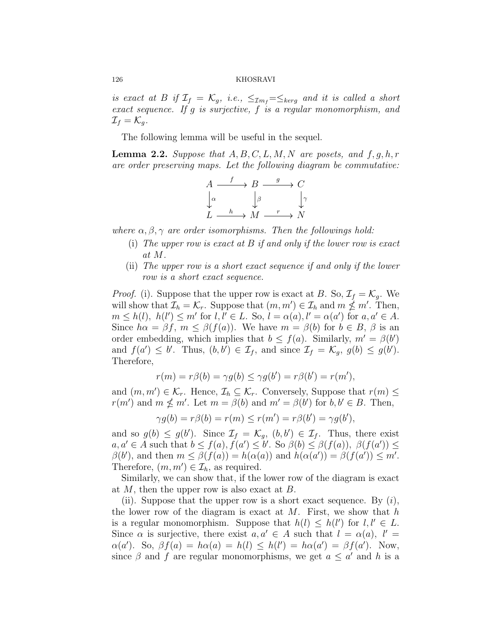*is exact at B if*  $\mathcal{I}_f = \mathcal{K}_g$ , *i.e.*,  $\leq_{\mathcal{I}m_f} = \leq_{\mathcal{K}erg}$  *and it is called a short exact sequence. If g is surjective, f is a regular monomorphism, and*  $\mathcal{I}_f = \mathcal{K}_g$ .

The following lemma will be useful in the sequel.

<span id="page-3-0"></span>**Lemma 2.2.** *Suppose that*  $A, B, C, L, M, N$  *are posets, and*  $f, q, h, r$ *are order preserving maps. Let the following diagram be commutative:*

$$
A \xrightarrow{f} B \xrightarrow{g} C
$$
  

$$
\downarrow^{\alpha} \qquad \downarrow^{\beta} \qquad \downarrow^{\gamma}
$$
  

$$
L \xrightarrow{h} M \xrightarrow{r} N
$$

*where α, β, γ are order isomorphisms. Then the followings hold:*

- (i) *The upper row is exact at B if and only if the lower row is exact at M.*
- (ii) *The upper row is a short exact sequence if and only if the lower row is a short exact sequence.*

*Proof.* (i). Suppose that the upper row is exact at *B*. So,  $\mathcal{I}_f = \mathcal{K}_g$ . We will show that  $\mathcal{I}_h = \mathcal{K}_r$ . Suppose that  $(m, m') \in \mathcal{I}_h$  and  $m \nleq m'$ . Then,  $m \leq h(l), h(l') \leq m'$  for  $l, l' \in L$ . So,  $l = \alpha(a), l' = \alpha(a')$  for  $a, a' \in A$ . Since  $h\alpha = \beta f$ ,  $m \leq \beta(f(a))$ . We have  $m = \beta(b)$  for  $b \in B$ ,  $\beta$  is an order embedding, which implies that  $b \leq f(a)$ . Similarly,  $m' = \beta(b')$ and  $f(a') \leq b'$ . Thus,  $(b, b') \in \mathcal{I}_f$ , and since  $\mathcal{I}_f = \mathcal{K}_g$ ,  $g(b) \leq g(b')$ . Therefore,

$$
r(m) = r\beta(b) = \gamma g(b) \le \gamma g(b') = r\beta(b') = r(m'),
$$

and  $(m, m') \in \mathcal{K}_r$ . Hence,  $\mathcal{I}_h \subseteq \mathcal{K}_r$ . Conversely, Suppose that  $r(m) \leq$ *r*(*m'*) and  $m \nleq m'$ . Let  $m = \beta(b)$  and  $m' = \beta(b')$  for  $b, b' \in B$ . Then,

$$
\gamma g(b) = r\beta(b) = r(m) \le r(m') = r\beta(b') = \gamma g(b'),
$$

and so  $g(b) \leq g(b')$ . Since  $\mathcal{I}_f = \mathcal{K}_g$ ,  $(b, b') \in \mathcal{I}_f$ . Thus, there exist  $a, a' \in A$  such that  $b \leq f(a), f(a') \leq b'$ . So  $\beta(b) \leq \beta(f(a)), \beta(f(a')) \leq b'$  $\beta(b')$ , and then  $m \leq \beta(f(a)) = h(\alpha(a))$  and  $h(\alpha(a')) = \beta(f(a')) \leq m'$ . Therefore,  $(m, m') \in \mathcal{I}_h$ , as required.

Similarly, we can show that, if the lower row of the diagram is exact at *M*, then the upper row is also exact at *B*.

(ii). Suppose that the upper row is a short exact sequence. By (*i*), the lower row of the diagram is exact at *M*. First, we show that *h* is a regular monomorphism. Suppose that  $h(l) \leq h(l')$  for  $l, l' \in L$ . Since  $\alpha$  is surjective, there exist  $a, a' \in A$  such that  $l = \alpha(a), l' =$  $\alpha(a')$ *.* So,  $\beta f(a) = h\alpha(a) = h(l) \leq h(l') = h\alpha(a') = \beta f(a')$ . Now, since  $\beta$  and  $f$  are regular monomorphisms, we get  $a \leq a'$  and  $h$  is a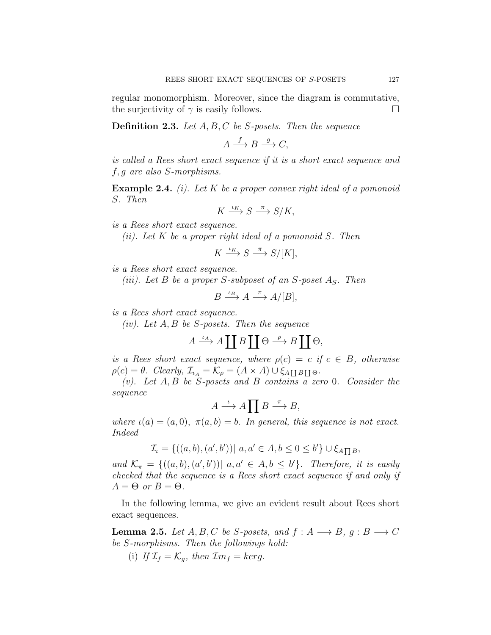regular monomorphism. Moreover, since the diagram is commutative, the surjectivity of  $\gamma$  is easily follows.  $\Box$ 

**Definition 2.3.** *Let A, B, C be S-posets. Then the sequence*

 $A \xrightarrow{f} B \xrightarrow{g} C$ ,

*is called a Rees short exact sequence if it is a short exact sequence and f, g are also S-morphisms.*

**Example 2.4.** *(i). Let K be a proper convex right ideal of a pomonoid S. Then*

$$
K \xrightarrow{\iota_K} S \xrightarrow{\pi} S/K,
$$

*is a Rees short exact sequence.*

*(ii). Let K be a proper right ideal of a pomonoid S. Then*

$$
K \xrightarrow{\iota_K} S \xrightarrow{\pi} S/[K],
$$

*is a Rees short exact sequence.*

*(iii). Let B be a proper S-subposet of an S-poset AS. Then*

$$
B \xrightarrow{\iota_B} A \xrightarrow{\pi} A/[B],
$$

*is a Rees short exact sequence.*

*(iv). Let A, B be S-posets. Then the sequence*

$$
A \xrightarrow{\iota_A} A \coprod B \coprod \Theta \xrightarrow{\rho} B \coprod \Theta,
$$

*is a Rees short exact sequence, where*  $\rho(c) = c$  *if*  $c \in B$ *, otherwise*  $\rho(c) = \theta$ *. Clearly,*  $\mathcal{I}_{i_A} = \mathcal{K}_{\rho} = (A \times A) \cup \xi_{A \coprod B \coprod \Theta}$ *.* 

*(v). Let A, B be S-posets and B contains a zero* 0*. Consider the sequence*

$$
A\stackrel{\iota}{\longrightarrow} A\prod B\stackrel{\pi}{\longrightarrow} B,
$$

*where*  $\iota(a) = (a, 0), \pi(a, b) = b$ *. In general, this sequence is not exact. Indeed*

$$
\mathcal{I}_\iota = \{ ((a, b), (a', b')) | a, a' \in A, b \le 0 \le b' \} \cup \xi_{A \prod B},
$$

*and*  $\mathcal{K}_{\pi} = \{((a, b), (a', b')) | a, a' \in A, b \leq b'\}.$  Therefore, it is easily *checked that the sequence is a Rees short exact sequence if and only if*  $A = \Theta$  *or*  $B = \Theta$ *.* 

In the following lemma, we give an evident result about Rees short exact sequences.

<span id="page-4-0"></span>**Lemma 2.5.** *Let*  $A, B, C$  *be*  $S$ *-posets, and*  $f : A \longrightarrow B, g : B \longrightarrow C$ *be S-morphisms. Then the followings hold:*

(i) If  $\mathcal{I}_f = \mathcal{K}_q$ , then  $\mathcal{I}m_f = \text{ker}g$ .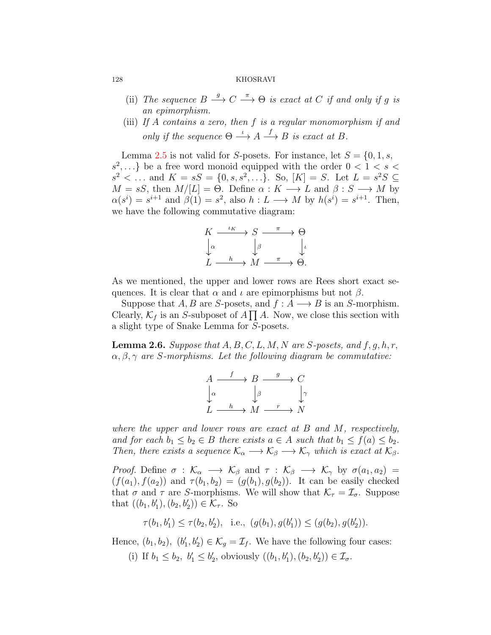- (ii) *The sequence*  $B \xrightarrow{g} C \xrightarrow{\pi} \Theta$  *is exact at C if and only if g is an epimorphism.*
- (iii) *If A contains a zero, then f is a regular monomorphism if and only if the sequence*  $\Theta \stackrel{\iota}{\longrightarrow} A \stackrel{f}{\longrightarrow} B$  *is exact at B.*

Lemma [2.5](#page-4-0) is not valid for *S*-posets. For instance, let  $S = \{0, 1, s, \ldots\}$  $s^2$ ,...} be a free word monoid equipped with the order  $0 < 1 < s <$  $s^2$  < ... and  $K = sS = \{0, s, s^2, ...\}$ . So,  $[K] = S$ . Let  $L = s^2S \subseteq$  $M = sS$ , then  $M/[L] = \Theta$ . Define  $\alpha : K \longrightarrow L$  and  $\beta : S \longrightarrow M$  by  $\alpha(s^i) = s^{i+1}$  and  $\beta(1) = s^2$ , also  $h: L \longrightarrow M$  by  $h(s^i) = s^{i+1}$ . Then, we have the following commutative diagram:

$$
\begin{array}{ccc}\nK & \xrightarrow{\iota_K} & S & \xrightarrow{\pi} & \Theta \\
\downarrow_{\alpha} & & \downarrow_{\beta} & & \downarrow_{\iota} \\
L & \xrightarrow{h} & M & \xrightarrow{\pi} & \Theta.\n\end{array}
$$

As we mentioned, the upper and lower rows are Rees short exact sequences. It is clear that  $\alpha$  and  $\iota$  are epimorphisms but not  $\beta$ .

Suppose that *A*, *B* are *S*-posets, and  $f : A \longrightarrow B$  is an *S*-morphism. Clearly,  $\mathcal{K}_f$  is an *S*-subposet of  $A \prod A$ . Now, we close this section with a slight type of Snake Lemma for *S*-posets.

**Lemma 2.6.** *Suppose that*  $A, B, C, L, M, N$  *are*  $S$ *-posets, and*  $f, g, h, r$ , *α, β, γ are S-morphisms. Let the following diagram be commutative:*

$$
\begin{array}{ccc}\nA & \xrightarrow{f} & B & \xrightarrow{g} & C \\
\downarrow^{\alpha} & & \downarrow^{\beta} & & \downarrow^{\gamma} \\
L & \xrightarrow{h} & M & \xrightarrow{r} & N\n\end{array}
$$

*where the upper and lower rows are exact at B and M, respectively, and for each*  $b_1 \leq b_2 \in B$  *there exists*  $a \in A$  *such that*  $b_1 \leq f(a) \leq b_2$ *. Then, there exists a sequence*  $\mathcal{K}_{\alpha} \longrightarrow \mathcal{K}_{\beta} \longrightarrow \mathcal{K}_{\gamma}$  *which is exact at*  $\mathcal{K}_{\beta}$ *.* 

*Proof.* Define  $\sigma : \mathcal{K}_{\alpha} \longrightarrow \mathcal{K}_{\beta}$  and  $\tau : \mathcal{K}_{\beta} \longrightarrow \mathcal{K}_{\gamma}$  by  $\sigma(a_1, a_2) =$  $(f(a_1), f(a_2))$  and  $\tau(b_1, b_2) = (g(b_1), g(b_2))$ . It can be easily checked that  $\sigma$  and  $\tau$  are *S*-morphisms. We will show that  $\mathcal{K}_{\tau} = \mathcal{I}_{\sigma}$ . Suppose that  $((b_1, b'_1), (b_2, b'_2)) \in \mathcal{K}_{\tau}$ . So

$$
\tau(b_1, b'_1) \le \tau(b_2, b'_2), \text{ i.e., } (g(b_1), g(b'_1)) \le (g(b_2), g(b'_2)).
$$

Hence,  $(b_1, b_2)$ ,  $(b'_1, b'_2) \in \mathcal{K}_g = \mathcal{I}_f$ . We have the following four cases:

(i) If  $b_1 \leq b_2, b'_1 \leq b'_2$ , obviously  $((b_1, b'_1), (b_2, b'_2)) \in \mathcal{I}_{\sigma}$ .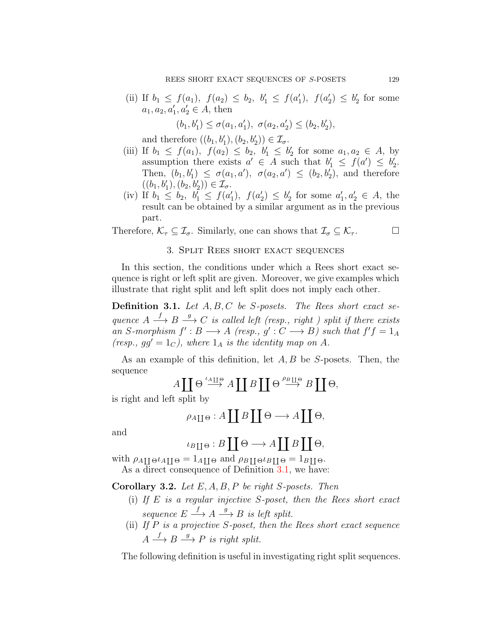(ii) If  $b_1 \leq f(a_1)$ ,  $f(a_2) \leq b_2$ ,  $b'_1 \leq f(a'_1)$ ,  $f(a'_2) \leq b'_2$  for some  $a_1, a_2, a'_1, a'_2 \in A$ , then

$$
(b_1, b'_1) \le \sigma(a_1, a'_1), \ \sigma(a_2, a'_2) \le (b_2, b'_2),
$$

and therefore  $((b_1, b'_1), (b_2, b'_2)) \in \mathcal{I}_{\sigma}$ .

- (iii) If  $b_1 \leq f(a_1)$ ,  $f(a_2) \leq b_2$ ,  $b'_1 \leq b'_2$  for some  $a_1, a_2 \in A$ , by assumption there exists  $a' \in A$  such that  $b'_1 \leq f(a') \leq b'_2$ . Then,  $(b_1, b'_1) \leq \sigma(a_1, a')$ ,  $\sigma(a_2, a') \leq (b_2, b'_2)$ , and therefore  $((b_1, b'_1), (b_2, b'_2)) \in \mathcal{I}_{\sigma}.$
- (iv) If  $b_1 \leq b_2$ ,  $b'_1 \leq f(a'_1)$ ,  $f(a'_2) \leq b'_2$  for some  $a'_1, a'_2 \in A$ , the result can be obtained by a similar argument as in the previous part.

Therefore,  $\mathcal{K}_{\tau} \subseteq \mathcal{I}_{\sigma}$ . Similarly, one can shows that  $\mathcal{I}_{\sigma} \subseteq \mathcal{K}_{\tau}$ .

$$
\qquad \qquad \Box
$$

# 3. Split Rees short exact sequences

In this section, the conditions under which a Rees short exact sequence is right or left split are given. Moreover, we give examples which illustrate that right split and left split does not imply each other.

<span id="page-6-0"></span>**Definition 3.1.** *Let A, B, C be S-posets. The Rees short exact sequence*  $A \stackrel{f}{\longrightarrow} B \stackrel{g}{\longrightarrow} C$  *is called left (resp., right) split if there exists an S*-morphism  $f' : B \longrightarrow A$  (resp.,  $g' : C \longrightarrow B$ ) such that  $f'f = 1_A$ *(resp., gg'* = 1 $_C$ *), where* 1 $_A$  *is the identity map on*  $A$ *.* 

As an example of this definition, let *A, B* be *S*-posets. Then, the sequence

$$
A \coprod \Theta \stackrel{\iota_{A \coprod \Theta}}{\longrightarrow} A \coprod B \coprod \Theta \stackrel{\rho_{B \coprod \Theta}}{\longrightarrow} B \coprod \Theta,
$$

is right and left split by

$$
\rho_{A \coprod \Theta}: A \coprod B \coprod \Theta \longrightarrow A \coprod \Theta,
$$

and

$$
\iota_{B \coprod \Theta} : B \coprod \Theta \longrightarrow A \coprod B \coprod \Theta,
$$

with  $\rho_{A\parallel}$  $\sigma$ <sup>*A*</sup><sub>I</sub> $\parallel$  $\Theta$  =  $1$ <sub>*A*</sub> $\parallel$  $\Theta$  and  $\rho_{B\parallel}$  $\sigma$ <sup>*l*</sup> $B\parallel$  $\Theta$  =  $1$ <sub>*B* $\parallel$  $\Theta$ .</sub> As a direct consequence of Definition [3.1](#page-6-0), we have:

**Corollary 3.2.** *Let E, A, B, P be right S-posets. Then*

- (i) *If E is a regular injective S-poset, then the Rees short exact sequence*  $E \xrightarrow{f} A \xrightarrow{g} B$  *is left split.*
- (ii) *If P is a projective S-poset, then the Rees short exact sequence*  $A \stackrel{f}{\longrightarrow} B \stackrel{g}{\longrightarrow} P$  *is right split.*

The following definition is useful in investigating right split sequences.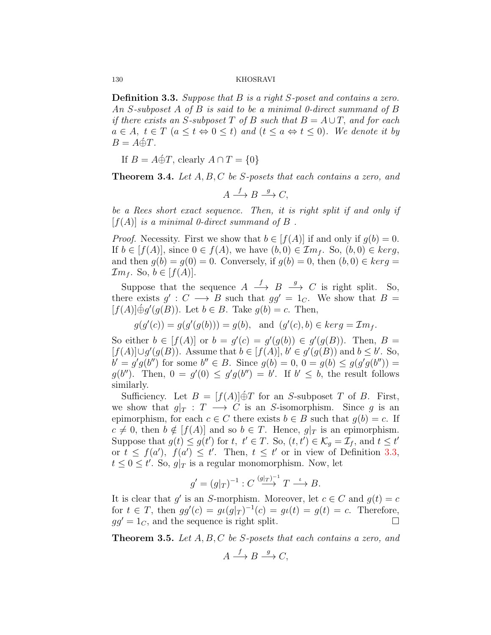<span id="page-7-0"></span>**Definition 3.3.** *Suppose that B is a right S-poset and contains a zero. An S-subposet A of B is said to be a minimal 0-direct summand of B if there exists an S*-subposet  $T$  *of*  $B$  *such that*  $B = A \cup T$ *, and for each*  $a \in A$ ,  $t \in T$   $(a \leq t \Leftrightarrow 0 \leq t)$  and  $(t \leq a \Leftrightarrow t \leq 0)$ *. We denote it by*  $B = A \oplus T$ .

If  $B = A \oplus T$ , clearly  $A \cap T = \{0\}$ 

**Theorem 3.4.** *Let A, B, C be S-posets that each contains a zero, and*

 $A \xrightarrow{f} B \xrightarrow{g} C$ ,

*be a Rees short exact sequence. Then, it is right split if and only if*  $[f(A)]$  *is a minimal 0-direct summand of*  $B$ .

*Proof.* Necessity. First we show that  $b \in [f(A)]$  if and only if  $g(b) = 0$ . If *b* ∈ [*f*(*A*)], since 0 ∈ *f*(*A*), we have  $(b, 0)$  ∈  $\mathcal{I}m_f$ . So,  $(b, 0)$  ∈  $\text{ker } g$ , and then  $q(b) = q(0) = 0$ . Conversely, if  $q(b) = 0$ , then  $(b, 0) \in \text{ker } q =$  $\mathcal{I}m_f$ . So,  $b \in [f(A)]$ .

Suppose that the sequence  $A \xrightarrow{f} B \xrightarrow{g} C$  is right split. So, there exists  $g' : C \longrightarrow B$  such that  $gg' = 1_C$ . We show that  $B =$  $[f(A)] \oplus g'(g(B))$ . Let  $b \in B$ . Take  $g(b) = c$ . Then,

 $g(g'(c)) = g(g'(g(b))) = g(b)$ , and  $(g'(c), b) \in \text{ker } g = \mathcal{I}m_f$ .

So either  $b \in [f(A)]$  or  $b = g'(c) = g'(g(b)) \in g'(g(B))$ . Then,  $B =$  $[f(A)] \cup g'(g(B))$ . Assume that  $b \in [f(A)],$   $b' \in g'(g(B))$  and  $b \leq b'$ . So,  $b' = g'g(b'')$  for some  $b'' \in B$ . Since  $g(b) = 0$ ,  $0 = g(b) \le g(g'g(b''))$  $g(b'')$ . Then,  $0 = g'(0) \le g'g(b'') = b'$ . If  $b' \le b$ , the result follows similarly.

Sufficiency. Let  $B = [f(A)] \oplus T$  for an *S*-subposet *T* of *B*. First, we show that  $g|_T : T \longrightarrow C$  is an *S*-isomorphism. Since *g* is an epimorphism, for each  $c \in C$  there exists  $b \in B$  such that  $g(b) = c$ . If  $c \neq 0$ , then  $b \notin [f(A)]$  and so  $b \in T$ . Hence,  $g|_T$  is an epimorphism. Suppose that  $g(t) \leq g(t')$  for  $t, t' \in T$ . So,  $(t, t') \in \mathcal{K}_g = \mathcal{I}_f$ , and  $t \leq t'$ or  $t \leq f(a')$ ,  $f(a') \leq t'$ . Then,  $t \leq t'$  or in view of Definition [3.3,](#page-7-0)  $t \leq 0 \leq t'$ . So,  $g|_T$  is a regular monomorphism. Now, let

$$
g' = (g|_{T})^{-1} : C \stackrel{(g|_{T})^{-1}}{\longrightarrow} T \stackrel{\iota}{\longrightarrow} B.
$$

It is clear that  $g'$  is an *S*-morphism. Moreover, let  $c \in C$  and  $g(t) = c$ for  $t \in T$ , then  $gg'(c) = gt(g|_{T})^{-1}(c) = gt(t) = g(t) = c$ . Therefore,  $gg' = 1_C$ , and the sequence is right split. □

**Theorem 3.5.** *Let A, B, C be S-posets that each contains a zero, and*

$$
A \xrightarrow{f} B \xrightarrow{g} C,
$$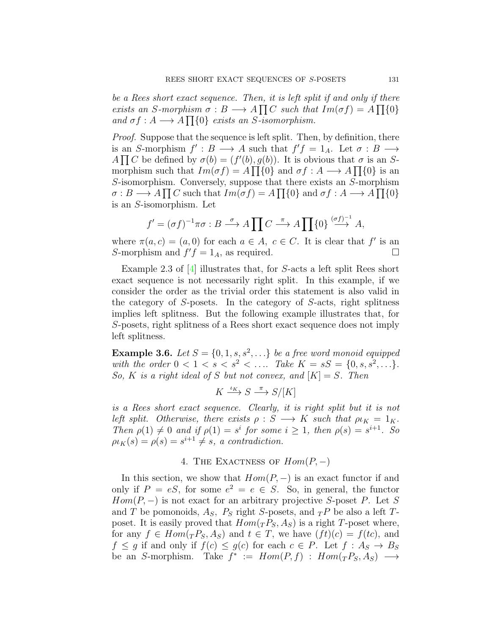*be a Rees short exact sequence. Then, it is left split if and only if there exists an S*-morphism  $\sigma : B \longrightarrow A \prod C$  *such that*  $Im(\sigma f) = A \prod \{0\}$ *and*  $\sigma f : A \longrightarrow A \prod \{0\}$  *exists an S-isomorphism.* 

*Proof.* Suppose that the sequence is left split. Then, by definition, there is an *S*-morphism  $f' : B \longrightarrow A$  such that  $f'f = 1_A$ . Let  $\sigma : B \longrightarrow$ *A* $\Pi$ *C* be defined by  $\sigma$ (*b*) = (*f*'(*b*)*, g*(*b*)). It is obvious that  $\sigma$  is an *S*morphism such that  $Im(\sigma f) = A \prod_{i} \{0\}$  and  $\sigma f : A \longrightarrow A \prod_{i} \{0\}$  is an *S*-isomorphism. Conversely, suppose that there exists an *S*-morphism  $\sigma : B \longrightarrow A \prod C$  such that  $Im(\sigma f) = A \prod \{0\}$  and  $\sigma f : A \longrightarrow A \prod \{0\}$ is an *S*-isomorphism. Let

$$
f' = (\sigma f)^{-1} \pi \sigma : B \xrightarrow{\sigma} A \prod C \xrightarrow{\pi} A \prod {\{0\}} \xrightarrow{(\sigma f)^{-1}} A,
$$

where  $\pi(a, c) = (a, 0)$  for each  $a \in A$ ,  $c \in C$ . It is clear that  $f'$  is an *S*-morphism and  $f'f = 1_A$ , as required. □

Example 2.3 of [\[4](#page-11-2)] illustrates that, for *S*-acts a left split Rees short exact sequence is not necessarily right split. In this example, if we consider the order as the trivial order this statement is also valid in the category of *S*-posets. In the category of *S*-acts, right splitness implies left splitness. But the following example illustrates that, for *S*-posets, right splitness of a Rees short exact sequence does not imply left splitness.

**Example 3.6.** *Let*  $S = \{0, 1, s, s^2, \ldots\}$  *be a free word monoid equipped with the order*  $0 < 1 < s < s^2 < \dots$  *Take*  $K = sS = \{0, s, s^2, \dots\}$ *. So, K is a right ideal of S but not convex, and*  $[K] = S$ *. Then* 

$$
K \xrightarrow{\iota_K} S \xrightarrow{\pi} S/[K]
$$

*is a Rees short exact sequence. Clearly, it is right split but it is not left split.* Otherwise, there exists  $\rho : S \longrightarrow K$  such that  $\rho \iota_K = 1_K$ . *Then*  $\rho(1) \neq 0$  *and if*  $\rho(1) = s^i$  *for some*  $i \geq 1$ *, then*  $\rho(s) = s^{i+1}$ *. So*  $\rho \iota_K(s) = \rho(s) = s^{i+1} \neq s$ , a contradiction.

# 4. The Exactness of *Hom*(*P, −*)

In this section, we show that  $Hom(P, -)$  is an exact functor if and only if  $P = eS$ , for some  $e^2 = e \in S$ . So, in general, the functor *Hom*( $P$ ,  $-$ ) is not exact for an arbitrary projective *S*-poset  $P$ . Let *S* and *T* be pomonoids,  $A_S$ ,  $P_S$  right *S*-posets, and  $T P$  be also a left *T*poset. It is easily proved that  $Hom({}_TP_S, A_S)$  is a right *T*-poset where, for any  $f \in Hom({}_TP_S, A_S)$  and  $t \in T$ , we have  $(ft)(c) = f(tc)$ , and  $f \leq g$  if and only if  $f(c) \leq g(c)$  for each  $c \in P$ . Let  $f : A_S \to B_S$  $\phi$ **e** an *S*-morphism. Take  $f^* := Hom(P, f) : Hom(TP, A_S) \longrightarrow$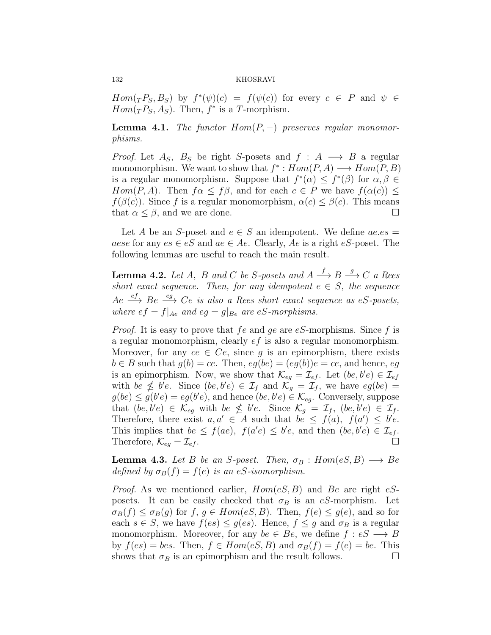*Hom*( $T P_S, B_S$ ) by  $f^*(\psi)(c) = f(\psi(c))$  for every  $c \in P$  and  $\psi \in$ *Hom*( ${}_{T}P_{S}, A_{S}$ ). Then,  $f^*$  is a *T*-morphism.

<span id="page-9-0"></span>**Lemma 4.1.** *The functor Hom*(*P, −*) *preserves regular monomorphisms.*

*Proof.* Let  $A_S$ ,  $B_S$  be right *S*-posets and  $f : A \longrightarrow B$  a regular monomorphism. We want to show that  $f^*$ :  $Hom(P, A) \longrightarrow Hom(P, B)$ is a regular monomorphism. Suppose that  $f^*(\alpha) \leq f^*(\beta)$  for  $\alpha, \beta \in$ *Hom*(*P, A*). Then  $f\alpha \leq f\beta$ , and for each  $c \in P$  we have  $f(\alpha(c)) \leq f(c)$ *f*( $\beta$ (*c*)). Since *f* is a regular monomorphism,  $\alpha$ (*c*)  $\leq \beta$ (*c*). This means that  $\alpha \leq \beta$ , and we are done. □

Let *A* be an *S*-poset and  $e \in S$  an idempotent. We define  $ae.e.$ *aese* for any  $es \in eS$  and  $ae \in Ae$ . Clearly,  $Ae$  is a right  $eS$ -poset. The following lemmas are useful to reach the main result.

**Lemma 4.2.** *Let A*, *B and C be S*-posets and  $A \xrightarrow{f} B \xrightarrow{g} C$  *a Rees short exact sequence. Then, for any idempotent*  $e \in S$ *, the sequence Ae ef −→ Be eg −→ Ce is also a Rees short exact sequence as eS-posets, where*  $ef = f|_{Ae}$  *and*  $eg = g|_{Be}$  *are*  $eS$ *-morphisms.* 

*Proof.* It is easy to prove that *fe* and *ge* are *eS*-morphisms. Since *f* is a regular monomorphism, clearly *ef* is also a regular monomorphism. Moreover, for any  $ce \in Ce$ , since g is an epimorphism, there exists  $b \in B$  such that  $g(b) = ce$ . Then,  $eg(be) = (eg(b))e = ce$ , and hence, *eg* is an epimorphism. Now, we show that  $\mathcal{K}_{eg} = \mathcal{I}_{ef}$ . Let  $(be, be) \in \mathcal{I}_{ef}$ with  $be \nleq b'e$ . Since  $(be, b'e) \in I_f$  and  $\mathcal{K}_g = I_f$ , we have  $eg(be) =$  $g(be) \leq g(b'e) = eg(b'e)$ , and hence  $(be, b'e) \in \mathcal{K}_{eg}$ . Conversely, suppose that  $(be, b'e) \in \mathcal{K}_{eg}$  with  $be \nleq b'e$ . Since  $\mathcal{K}_g = \mathcal{I}_f$ ,  $(be, b'e) \in \mathcal{I}_f$ . Therefore, there exist  $a, a' \in A$  such that  $be \leq f(a), f(a') \leq be$ . This implies that  $be \leq f(ae)$ ,  $f(a'e) \leq b'e$ , and then  $(be, b'e) \in \mathcal{I}_{ef}$ . Therefore,  $\mathcal{K}_{eg} = \mathcal{I}_{ef}$ .

<span id="page-9-1"></span>**Lemma 4.3.** *Let B be an S*-poset. Then,  $\sigma_B : Hom(eS, B) \longrightarrow Be$ *defined by*  $\sigma_B(f) = f(e)$  *is an eS-isomorphism.* 

*Proof.* As we mentioned earlier, *Hom*(*eS, B*) and *Be* are right *eS*posets. It can be easily checked that  $\sigma_B$  is an *eS*-morphism. Let  $\sigma_B(f) \leq \sigma_B(g)$  for  $f, g \in Hom(eS, B)$ . Then,  $f(e) \leq g(e)$ , and so for each  $s \in S$ , we have  $f(es) \leq g(es)$ . Hence,  $f \leq g$  and  $\sigma_B$  is a regular monomorphism. Moreover, for any  $be \in Be$ , we define  $f : eS \longrightarrow B$ by  $f(es) = bes$ . Then,  $f \in Hom(eS, B)$  and  $\sigma_B(f) = f(e) = be$ . This shows that  $\sigma_B$  is an epimorphism and the result follows.  $\Box$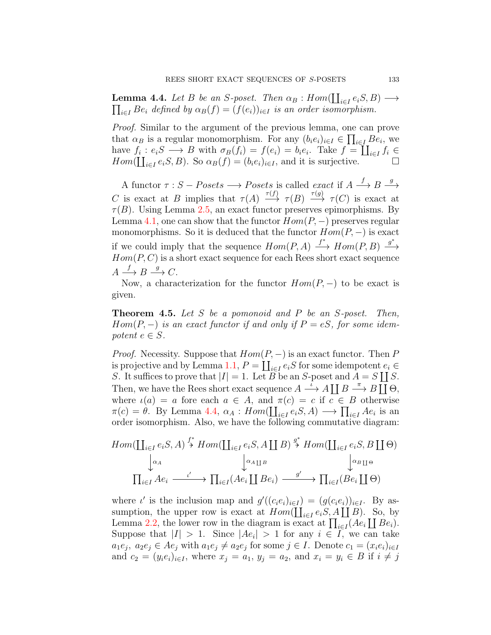<span id="page-10-0"></span>**Lemma 4.4.** *Let B be an S*-poset. Then  $\alpha_B : Hom(\coprod_{i \in I} e_iS, B) \longrightarrow$  $\prod_{i \in I} Be_i$  *defined by*  $\alpha_B(f) = (f(e_i))_{i \in I}$  *is an order isomorphism.* 

*Proof.* Similar to the argument of the previous lemma, one can prove that  $\alpha_B$  is a regular monomorphism. For any  $(b_i e_i)_{i \in I} \in \prod_{i \in I} B e_i$ , we have  $f_i : e_i S \longrightarrow B$  with  $\sigma_B(f_i) = f(e_i) = b_i e_i$ . Take  $f = \coprod_{i \in I} f_i \in$  $Hom(\coprod_{i\in I}e_iS, B)$ . So  $\alpha_B(f)=(b_ie_i)_{i\in I}$ , and it is surjective. □

A functor  $\tau : S - Po sets \longrightarrow Posets$  is called *exact* if  $A \xrightarrow{f} B \xrightarrow{g} A$ *C* is exact at *B* implies that  $\tau(A) \xrightarrow{\tau(f)} \tau(B) \xrightarrow{\tau(g)} \tau(C)$  is exact at  $\tau(B)$ . Using Lemma [2.5,](#page-4-0) an exact functor preserves epimorphisms. By Lemma [4.1](#page-9-0), one can show that the functor  $Hom(P, -)$  preserves regular monomorphisms. So it is deduced that the functor  $Hom(P, -)$  is exact if we could imply that the sequence  $Hom(P, A) \xrightarrow{f^*} Hom(P, B) \xrightarrow{g^*}$  $Hom(P, C)$  is a short exact sequence for each Rees short exact sequence  $A \xrightarrow{f} B \xrightarrow{g} C.$ 

Now, a characterization for the functor  $Hom(P, -)$  to be exact is given.

**Theorem 4.5.** *Let S be a pomonoid and P be an S-poset. Then, Hom*( $P, -$ ) *is an exact functor if and only if*  $P = eS$ *, for some idempotent*  $e \in S$ *.* 

*Proof.* Necessity. Suppose that  $Hom(P, -)$  is an exact functor. Then *P* is projective and by Lemma [1.1](#page-1-0),  $P = \coprod_{i \in I} e_i S$  for some idempotent  $e_i \in$ *S*. It suffices to prove that  $|I| = 1$ . Let *B* be an *S*-poset and  $A = S \coprod S$ . Then, we have the Rees short exact sequence  $A \stackrel{\iota}{\longrightarrow} A \coprod B \stackrel{\pi}{\longrightarrow} B \coprod \Theta$ , where  $\iota(a) = a$  fore each  $a \in A$ , and  $\pi(c) = c$  if  $c \in B$  otherwise  $\pi(c) = \theta$ . By Lemma [4.4,](#page-10-0)  $\alpha_A : Hom(\coprod_{i \in I} e_i S, A) \longrightarrow \prod_{i \in I} Ae_i$  is an order isomorphism. Also, we have the following commutative diagram:

$$
Hom(\coprod_{i\in I}e_{i}S, A) \stackrel{f^{*}}{\rightarrow} Hom(\coprod_{i\in I}e_{i}S, A \coprod B) \stackrel{g^{*}}{\rightarrow} Hom(\coprod_{i\in I}e_{i}S, B \coprod \Theta)
$$

$$
\downarrow^{\alpha_{A}} \qquad \qquad \downarrow^{\alpha_{A}} \qquad \qquad \downarrow^{\alpha_{B}} \qquad \qquad \downarrow^{\alpha_{B}} \qquad \qquad \downarrow^{\alpha_{B}} \qquad \qquad \downarrow^{\alpha_{B}} \qquad \qquad \downarrow^{\alpha_{B}} \qquad \qquad \downarrow^{\alpha_{B}} \qquad \qquad \downarrow^{\alpha_{B}} \qquad \qquad \downarrow^{\alpha_{B}} \qquad \qquad \downarrow^{\alpha_{B}} \qquad \qquad \downarrow^{\alpha_{B}} \qquad \qquad \downarrow^{\alpha_{B}} \qquad \qquad \downarrow^{\alpha_{B}} \qquad \qquad \downarrow^{\alpha_{B}} \qquad \qquad \downarrow^{\alpha_{B}} \qquad \qquad \downarrow^{\alpha_{B}} \qquad \qquad \downarrow^{\alpha_{B}} \qquad \qquad \downarrow^{\alpha_{B}} \qquad \qquad \downarrow^{\alpha_{B}} \qquad \qquad \downarrow^{\alpha_{B}} \qquad \qquad \downarrow^{\alpha_{B}} \qquad \qquad \downarrow^{\alpha_{B}} \qquad \qquad \downarrow^{\alpha_{B}} \qquad \qquad \downarrow^{\alpha_{B}} \qquad \qquad \downarrow^{\alpha_{B}} \qquad \qquad \downarrow^{\alpha_{B}} \qquad \qquad \downarrow^{\alpha_{B}} \qquad \qquad \downarrow^{\alpha_{B}} \qquad \qquad \downarrow^{\alpha_{B}} \qquad \qquad \downarrow^{\alpha_{B}} \qquad \qquad \downarrow^{\alpha_{B}} \qquad \qquad \downarrow^{\alpha_{B}} \qquad \qquad \downarrow^{\alpha_{B}} \qquad \qquad \downarrow^{\alpha_{B}} \qquad \qquad \downarrow^{\alpha_{B}} \qquad \qquad \downarrow^{\alpha_{B}} \qquad \qquad \downarrow^{\alpha_{B}} \qquad \qquad \downarrow^{\alpha_{B}} \qquad \qquad \downarrow^{\alpha_{B}} \qquad \qquad \downarrow^{\alpha_{B}} \qquad \qquad \downarrow^{\alpha_{B}} \qquad \qquad \downarrow^{\alpha_{B}} \qquad \qquad \downarrow^{\alpha_{B}} \qquad \qquad \downarrow^{\alpha_{B
$$

where *ι'* is the inclusion map and  $g'((c_i e_i)_{i \in I}) = (g(c_i e_i))_{i \in I}$ . By assumption, the upper row is exact at  $Hom(\coprod_{i\in I}e_iS, A\coprod B)$ . So, by Lemma [2.2,](#page-3-0) the lower row in the diagram is exact at  $\prod_{i \in I} (Ae_i \coprod Be_i)$ . Suppose that  $|I| > 1$ . Since  $|Ae_i| > 1$  for any  $i \in I$ , we can take  $a_1e_j$ ,  $a_2e_j \in Ae_j$  with  $a_1e_j \neq a_2e_j$  for some  $j \in I$ . Denote  $c_1 = (x_ie_i)_{i \in I}$ and  $c_2 = (y_i e_i)_{i \in I}$ , where  $x_j = a_1, y_j = a_2$ , and  $x_i = y_i \in B$  if  $i \neq j$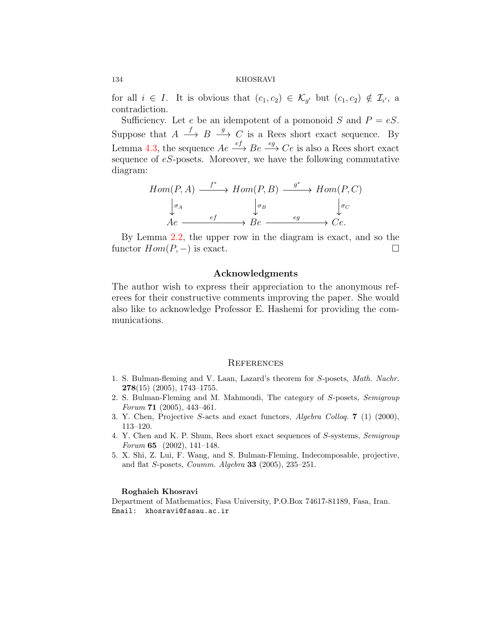for all  $i \in I$ . It is obvious that  $(c_1, c_2) \in \mathcal{K}_{g'}$  but  $(c_1, c_2) \notin \mathcal{I}_{\iota'}$ , a contradiction.

Sufficiency. Let *e* be an idempotent of a pomonoid *S* and  $P = eS$ . Suppose that  $A \stackrel{f}{\longrightarrow} B \stackrel{g}{\longrightarrow} C$  is a Rees short exact sequence. By Lemma [4.3,](#page-9-1) the sequence  $Ae \xrightarrow{ef} Be \xrightarrow{eg} Ce$  is also a Rees short exact sequence of *eS*-posets. Moreover, we have the following commutative diagram:

$$
Hom(P, A) \xrightarrow{f^*} Hom(P, B) \xrightarrow{g^*} Hom(P, C)
$$

$$
\downarrow_{\sigma_A} \qquad \qquad \downarrow_{\sigma_B} \qquad \qquad \downarrow_{\sigma_C}
$$

$$
Ae \xrightarrow{ef} Be \xrightarrow{eg} Ce.
$$

By Lemma [2.2](#page-3-0), the upper row in the diagram is exact, and so the functor  $Hom(P, -)$  is exact.  $\square$ 

# **Acknowledgments**

The author wish to express their appreciation to the anonymous referees for their constructive comments improving the paper. She would also like to acknowledge Professor E. Hashemi for providing the communications.

## **REFERENCES**

- <span id="page-11-4"></span>1. S. Bulman-fleming and V. Laan, Lazard's theorem for *S*-posets, *Math. Nachr.* **278**(15) (2005), 1743–1755.
- <span id="page-11-3"></span>2. S. Bulman-Fleming and M. Mahmoudi, The category of *S*-posets, *Semigroup Forum* **71** (2005), 443–461.
- <span id="page-11-1"></span>3. Y. Chen, Projective *S*-acts and exact functors, *Algebra Colloq.* **7** (1) (2000), 113–120.
- <span id="page-11-2"></span>4. Y. Chen and K. P. Shum, Rees short exact sequences of *S*-systems, *Semigroup Forum* **65** (2002), 141–148.
- <span id="page-11-0"></span>5. X. Shi, Z. Lui, F. Wang, and S. Bulman-Fleming, Indecomposable, projective, and flat *S*-posets, *Coumm. Algebra* **33** (2005), 235–251.

#### **Roghaieh Khosravi**

Department of Mathematics, Fasa University, P.O.Box 74617-81189, Fasa, Iran. Email: khosravi@fasau.ac.ir